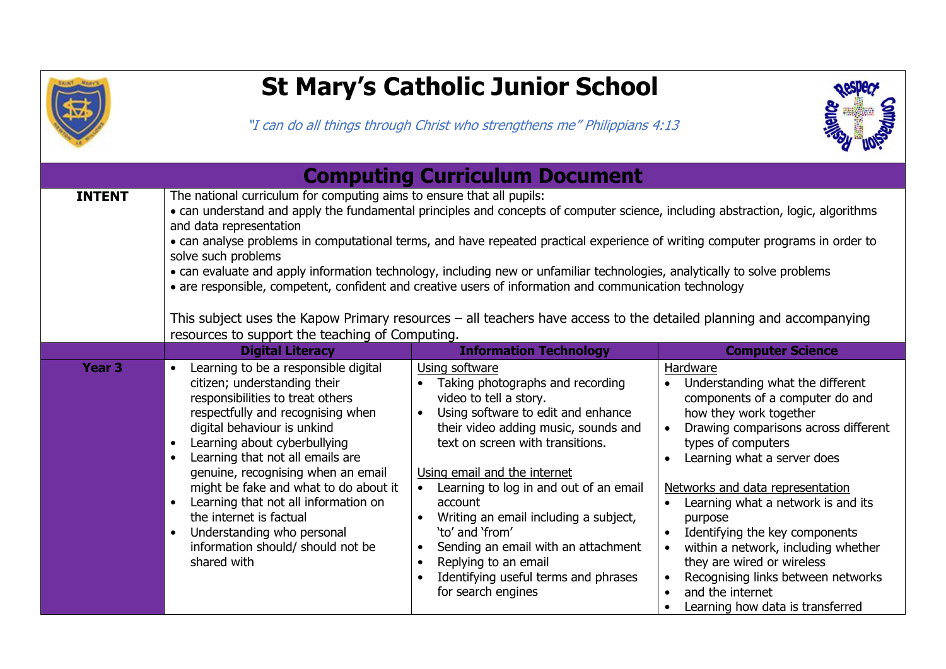

## **St Mary's Catholic Junior School**

"I can do all things through Christ who strengthens me" Philippians 4:13



| <b>Computing Curriculum Document</b> |                                                                                                                                                                                                                                                                                                                                                                                                                                                                                                                                                                                                                                                                                                                                                                                                               |                                                                                                                                                                                                                                                                                                                                                                                                                                                                                                        |                                                                                                                                                                                                                                                                                                                                                                                                                                                                                                                                                                                |
|--------------------------------------|---------------------------------------------------------------------------------------------------------------------------------------------------------------------------------------------------------------------------------------------------------------------------------------------------------------------------------------------------------------------------------------------------------------------------------------------------------------------------------------------------------------------------------------------------------------------------------------------------------------------------------------------------------------------------------------------------------------------------------------------------------------------------------------------------------------|--------------------------------------------------------------------------------------------------------------------------------------------------------------------------------------------------------------------------------------------------------------------------------------------------------------------------------------------------------------------------------------------------------------------------------------------------------------------------------------------------------|--------------------------------------------------------------------------------------------------------------------------------------------------------------------------------------------------------------------------------------------------------------------------------------------------------------------------------------------------------------------------------------------------------------------------------------------------------------------------------------------------------------------------------------------------------------------------------|
| <b>INTENT</b>                        | The national curriculum for computing aims to ensure that all pupils:<br>• can understand and apply the fundamental principles and concepts of computer science, including abstraction, logic, algorithms<br>and data representation<br>• can analyse problems in computational terms, and have repeated practical experience of writing computer programs in order to<br>solve such problems<br>• can evaluate and apply information technology, including new or unfamiliar technologies, analytically to solve problems<br>• are responsible, competent, confident and creative users of information and communication technology<br>This subject uses the Kapow Primary resources – all teachers have access to the detailed planning and accompanying<br>resources to support the teaching of Computing. |                                                                                                                                                                                                                                                                                                                                                                                                                                                                                                        |                                                                                                                                                                                                                                                                                                                                                                                                                                                                                                                                                                                |
|                                      | <b>Digital Literacy</b>                                                                                                                                                                                                                                                                                                                                                                                                                                                                                                                                                                                                                                                                                                                                                                                       | <b>Information Technology</b>                                                                                                                                                                                                                                                                                                                                                                                                                                                                          | <b>Computer Science</b>                                                                                                                                                                                                                                                                                                                                                                                                                                                                                                                                                        |
| Year <sub>3</sub>                    | Learning to be a responsible digital<br>$\bullet$<br>citizen; understanding their<br>responsibilities to treat others<br>respectfully and recognising when<br>digital behaviour is unkind<br>Learning about cyberbullying<br>$\bullet$<br>Learning that not all emails are<br>$\bullet$<br>genuine, recognising when an email<br>might be fake and what to do about it<br>Learning that not all information on<br>$\bullet$<br>the internet is factual<br>Understanding who personal<br>$\bullet$<br>information should/ should not be<br>shared with                                                                                                                                                                                                                                                         | Using software<br>Taking photographs and recording<br>video to tell a story.<br>Using software to edit and enhance<br>$\bullet$<br>their video adding music, sounds and<br>text on screen with transitions.<br>Using email and the internet<br>Learning to log in and out of an email<br>account<br>Writing an email including a subject,<br>'to' and 'from'<br>Sending an email with an attachment<br>Replying to an email<br>$\bullet$<br>Identifying useful terms and phrases<br>for search engines | Hardware<br>Understanding what the different<br>components of a computer do and<br>how they work together<br>Drawing comparisons across different<br>types of computers<br>Learning what a server does<br>$\bullet$<br>Networks and data representation<br>Learning what a network is and its<br>$\bullet$<br>purpose<br>Identifying the key components<br>$\bullet$<br>within a network, including whether<br>$\bullet$<br>they are wired or wireless<br>Recognising links between networks<br>$\bullet$<br>and the internet<br>$\bullet$<br>Learning how data is transferred |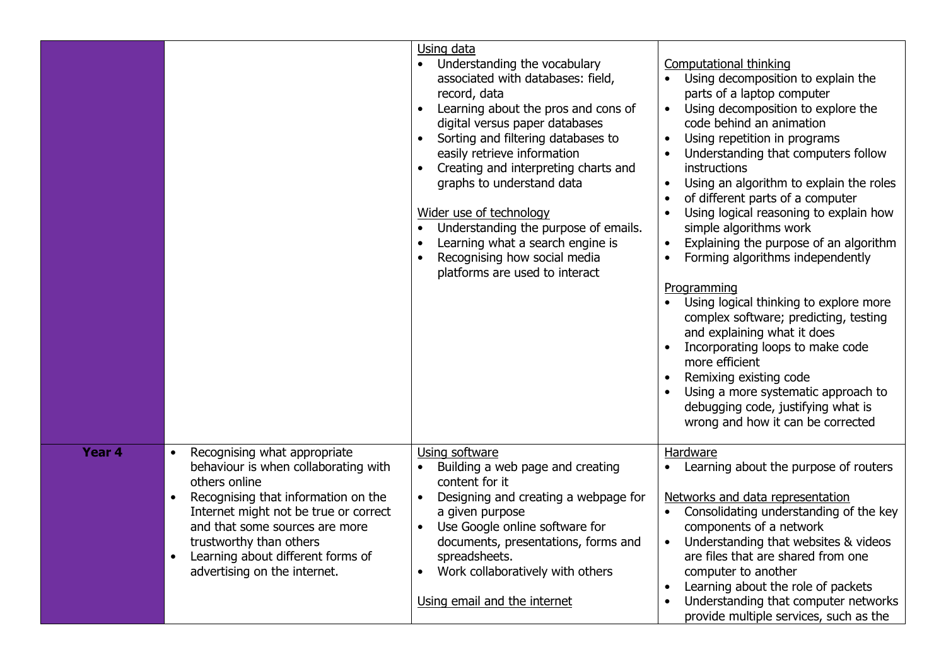|        |                                                                                                                                                                                                                                                                                                                                   | Using data<br>Understanding the vocabulary<br>associated with databases: field,<br>record, data<br>Learning about the pros and cons of<br>digital versus paper databases<br>Sorting and filtering databases to<br>easily retrieve information<br>Creating and interpreting charts and<br>graphs to understand data<br>Wider use of technology<br>Understanding the purpose of emails.<br>$\bullet$<br>Learning what a search engine is<br>Recognising how social media<br>platforms are used to interact | <b>Computational thinking</b><br>Using decomposition to explain the<br>parts of a laptop computer<br>Using decomposition to explore the<br>code behind an animation<br>Using repetition in programs<br>$\bullet$<br>Understanding that computers follow<br>instructions<br>Using an algorithm to explain the roles<br>of different parts of a computer<br>Using logical reasoning to explain how<br>simple algorithms work<br>Explaining the purpose of an algorithm<br>$\bullet$<br>Forming algorithms independently<br>Programming<br>Using logical thinking to explore more<br>complex software; predicting, testing<br>and explaining what it does<br>Incorporating loops to make code<br>more efficient<br>Remixing existing code<br>Using a more systematic approach to<br>debugging code, justifying what is<br>wrong and how it can be corrected |
|--------|-----------------------------------------------------------------------------------------------------------------------------------------------------------------------------------------------------------------------------------------------------------------------------------------------------------------------------------|----------------------------------------------------------------------------------------------------------------------------------------------------------------------------------------------------------------------------------------------------------------------------------------------------------------------------------------------------------------------------------------------------------------------------------------------------------------------------------------------------------|----------------------------------------------------------------------------------------------------------------------------------------------------------------------------------------------------------------------------------------------------------------------------------------------------------------------------------------------------------------------------------------------------------------------------------------------------------------------------------------------------------------------------------------------------------------------------------------------------------------------------------------------------------------------------------------------------------------------------------------------------------------------------------------------------------------------------------------------------------|
| Year 4 | Recognising what appropriate<br>$\bullet$<br>behaviour is when collaborating with<br>others online<br>Recognising that information on the<br>Internet might not be true or correct<br>and that some sources are more<br>trustworthy than others<br>Learning about different forms of<br>$\bullet$<br>advertising on the internet. | Using software<br>Building a web page and creating<br>content for it<br>Designing and creating a webpage for<br>a given purpose<br>Use Google online software for<br>documents, presentations, forms and<br>spreadsheets.<br>Work collaboratively with others<br>$\bullet$<br>Using email and the internet                                                                                                                                                                                               | Hardware<br>Learning about the purpose of routers<br>Networks and data representation<br>Consolidating understanding of the key<br>components of a network<br>Understanding that websites & videos<br>$\bullet$<br>are files that are shared from one<br>computer to another<br>Learning about the role of packets<br>Understanding that computer networks<br>provide multiple services, such as the                                                                                                                                                                                                                                                                                                                                                                                                                                                     |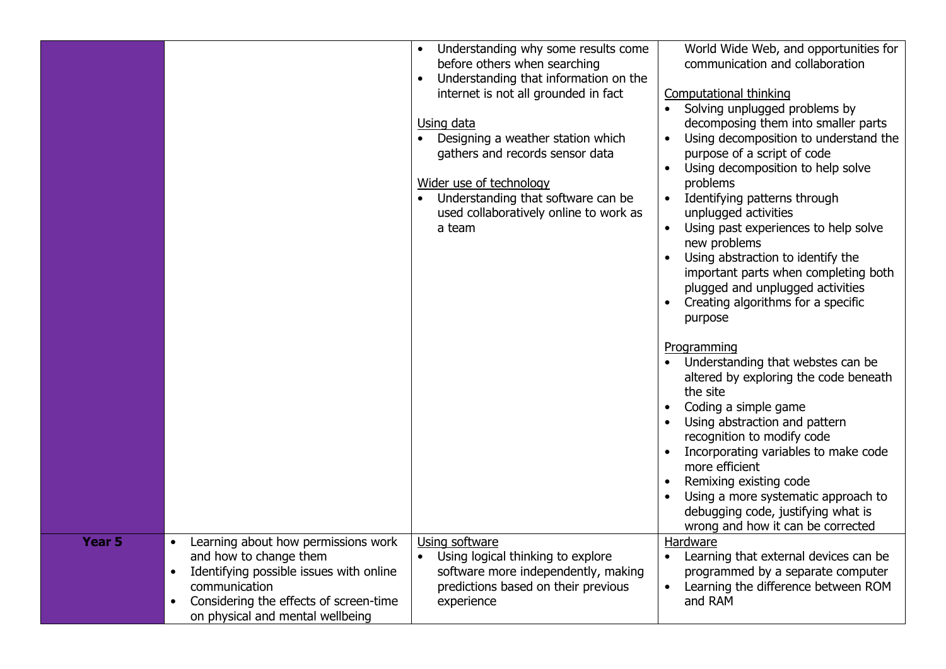|                   |                                                      | Understanding why some results come                | World Wide Web, and opportunities for                       |
|-------------------|------------------------------------------------------|----------------------------------------------------|-------------------------------------------------------------|
|                   |                                                      | before others when searching                       | communication and collaboration                             |
|                   |                                                      | Understanding that information on the<br>$\bullet$ |                                                             |
|                   |                                                      | internet is not all grounded in fact               | Computational thinking                                      |
|                   |                                                      |                                                    | • Solving unplugged problems by                             |
|                   |                                                      | Using data                                         | decomposing them into smaller parts                         |
|                   |                                                      | Designing a weather station which                  | Using decomposition to understand the                       |
|                   |                                                      | gathers and records sensor data                    | purpose of a script of code                                 |
|                   |                                                      |                                                    | Using decomposition to help solve                           |
|                   |                                                      | Wider use of technology                            | problems                                                    |
|                   |                                                      | Understanding that software can be                 | • Identifying patterns through                              |
|                   |                                                      | used collaboratively online to work as             | unplugged activities                                        |
|                   |                                                      | a team                                             | Using past experiences to help solve                        |
|                   |                                                      |                                                    | new problems                                                |
|                   |                                                      |                                                    | Using abstraction to identify the                           |
|                   |                                                      |                                                    | important parts when completing both                        |
|                   |                                                      |                                                    | plugged and unplugged activities                            |
|                   |                                                      |                                                    | Creating algorithms for a specific                          |
|                   |                                                      |                                                    | purpose                                                     |
|                   |                                                      |                                                    |                                                             |
|                   |                                                      |                                                    | Programming                                                 |
|                   |                                                      |                                                    | • Understanding that webstes can be                         |
|                   |                                                      |                                                    | altered by exploring the code beneath                       |
|                   |                                                      |                                                    | the site                                                    |
|                   |                                                      |                                                    | Coding a simple game                                        |
|                   |                                                      |                                                    | Using abstraction and pattern<br>recognition to modify code |
|                   |                                                      |                                                    | Incorporating variables to make code                        |
|                   |                                                      |                                                    | more efficient                                              |
|                   |                                                      |                                                    | Remixing existing code                                      |
|                   |                                                      |                                                    | Using a more systematic approach to                         |
|                   |                                                      |                                                    | debugging code, justifying what is                          |
|                   |                                                      |                                                    | wrong and how it can be corrected                           |
| Year <sub>5</sub> | Learning about how permissions work<br>$\bullet$     | Using software                                     | Hardware                                                    |
|                   | and how to change them                               | Using logical thinking to explore                  | Learning that external devices can be                       |
|                   | Identifying possible issues with online<br>$\bullet$ | software more independently, making                | programmed by a separate computer                           |
|                   | communication                                        | predictions based on their previous                | Learning the difference between ROM<br>$\bullet$            |
|                   | Considering the effects of screen-time               | experience                                         | and RAM                                                     |
|                   | on physical and mental wellbeing                     |                                                    |                                                             |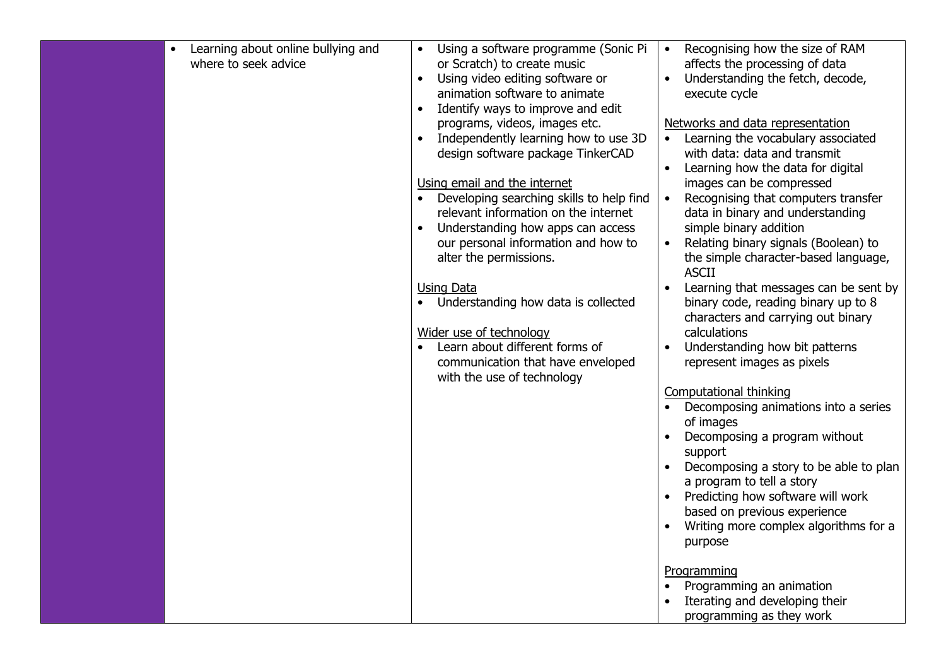| Learning about online bullying and<br>where to seek advice | Using a software programme (Sonic Pi<br>or Scratch) to create music<br>Using video editing software or<br>animation software to animate<br>Identify ways to improve and edit<br>$\bullet$<br>programs, videos, images etc.<br>Independently learning how to use 3D<br>design software package TinkerCAD<br>Using email and the internet<br>Developing searching skills to help find<br>relevant information on the internet<br>Understanding how apps can access<br>our personal information and how to<br>alter the permissions.<br>Using Data<br>Understanding how data is collected<br>Wider use of technology<br>Learn about different forms of<br>communication that have enveloped<br>with the use of technology | Recognising how the size of RAM<br>affects the processing of data<br>Understanding the fetch, decode,<br>execute cycle<br>Networks and data representation<br>Learning the vocabulary associated<br>with data: data and transmit<br>Learning how the data for digital<br>images can be compressed<br>Recognising that computers transfer<br>data in binary and understanding<br>simple binary addition<br>Relating binary signals (Boolean) to<br>$\bullet$<br>the simple character-based language,<br><b>ASCII</b><br>Learning that messages can be sent by<br>binary code, reading binary up to 8<br>characters and carrying out binary<br>calculations<br>Understanding how bit patterns<br>represent images as pixels<br><b>Computational thinking</b><br>Decomposing animations into a series<br>of images<br>Decomposing a program without<br>support<br>Decomposing a story to be able to plan<br>a program to tell a story<br>Predicting how software will work<br>based on previous experience<br>Writing more complex algorithms for a<br>purpose |
|------------------------------------------------------------|------------------------------------------------------------------------------------------------------------------------------------------------------------------------------------------------------------------------------------------------------------------------------------------------------------------------------------------------------------------------------------------------------------------------------------------------------------------------------------------------------------------------------------------------------------------------------------------------------------------------------------------------------------------------------------------------------------------------|-------------------------------------------------------------------------------------------------------------------------------------------------------------------------------------------------------------------------------------------------------------------------------------------------------------------------------------------------------------------------------------------------------------------------------------------------------------------------------------------------------------------------------------------------------------------------------------------------------------------------------------------------------------------------------------------------------------------------------------------------------------------------------------------------------------------------------------------------------------------------------------------------------------------------------------------------------------------------------------------------------------------------------------------------------------|
|                                                            |                                                                                                                                                                                                                                                                                                                                                                                                                                                                                                                                                                                                                                                                                                                        | Programming<br>Programming an animation<br>Iterating and developing their<br>programming as they work                                                                                                                                                                                                                                                                                                                                                                                                                                                                                                                                                                                                                                                                                                                                                                                                                                                                                                                                                       |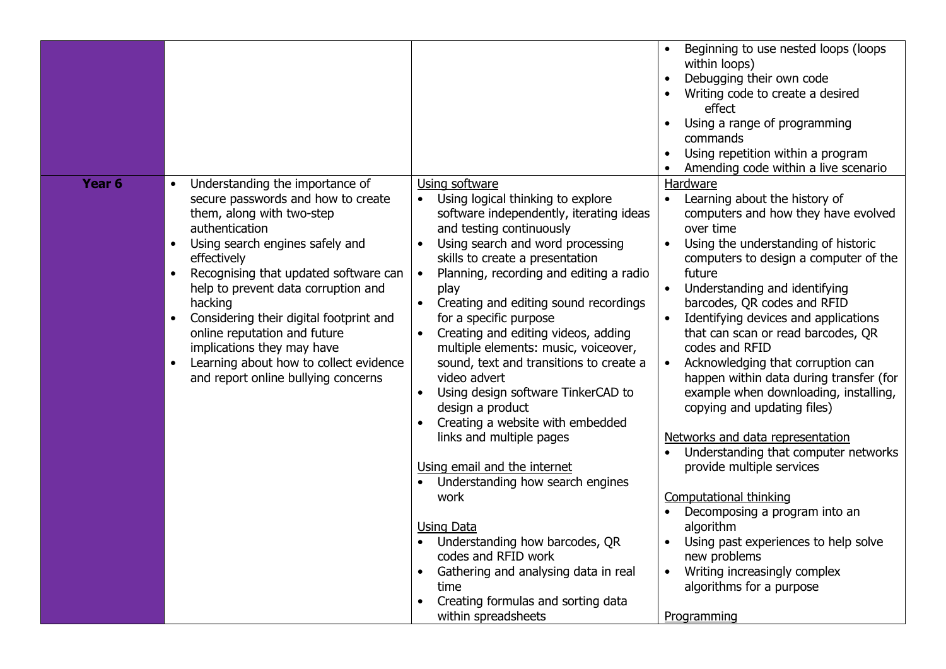|                   |                                                                                                                                                                                                                                                                                                                                                                                                                                                                          |                                                                                                                                                                                                                                                                                                                                                                                                                                                                                                                                                                                                                                                                                                                                                                                                                                                                                              | Beginning to use nested loops (loops<br>$\bullet$<br>within loops)<br>Debugging their own code<br>Writing code to create a desired<br>effect<br>Using a range of programming<br>commands<br>Using repetition within a program<br>Amending code within a live scenario                                                                                                                                                                                                                                                                                                                                                                                                                                                                                                                                                                                                                                                    |
|-------------------|--------------------------------------------------------------------------------------------------------------------------------------------------------------------------------------------------------------------------------------------------------------------------------------------------------------------------------------------------------------------------------------------------------------------------------------------------------------------------|----------------------------------------------------------------------------------------------------------------------------------------------------------------------------------------------------------------------------------------------------------------------------------------------------------------------------------------------------------------------------------------------------------------------------------------------------------------------------------------------------------------------------------------------------------------------------------------------------------------------------------------------------------------------------------------------------------------------------------------------------------------------------------------------------------------------------------------------------------------------------------------------|--------------------------------------------------------------------------------------------------------------------------------------------------------------------------------------------------------------------------------------------------------------------------------------------------------------------------------------------------------------------------------------------------------------------------------------------------------------------------------------------------------------------------------------------------------------------------------------------------------------------------------------------------------------------------------------------------------------------------------------------------------------------------------------------------------------------------------------------------------------------------------------------------------------------------|
| Year <sub>6</sub> | Understanding the importance of<br>$\bullet$<br>secure passwords and how to create<br>them, along with two-step<br>authentication<br>Using search engines safely and<br>effectively<br>Recognising that updated software can<br>help to prevent data corruption and<br>hacking<br>Considering their digital footprint and<br>online reputation and future<br>implications they may have<br>Learning about how to collect evidence<br>and report online bullying concerns | Using software<br>Using logical thinking to explore<br>$\bullet$<br>software independently, iterating ideas<br>and testing continuously<br>Using search and word processing<br>skills to create a presentation<br>Planning, recording and editing a radio<br>play<br>Creating and editing sound recordings<br>for a specific purpose<br>Creating and editing videos, adding<br>multiple elements: music, voiceover,<br>sound, text and transitions to create a<br>video advert<br>Using design software TinkerCAD to<br>design a product<br>Creating a website with embedded<br>links and multiple pages<br>Using email and the internet<br>Understanding how search engines<br>work<br><b>Using Data</b><br>Understanding how barcodes, QR<br>codes and RFID work<br>Gathering and analysing data in real<br>time<br>Creating formulas and sorting data<br>$\bullet$<br>within spreadsheets | Hardware<br>Learning about the history of<br>$\bullet$<br>computers and how they have evolved<br>over time<br>Using the understanding of historic<br>$\bullet$<br>computers to design a computer of the<br>future<br>Understanding and identifying<br>$\bullet$<br>barcodes, QR codes and RFID<br>Identifying devices and applications<br>$\bullet$<br>that can scan or read barcodes, QR<br>codes and RFID<br>Acknowledging that corruption can<br>$\bullet$<br>happen within data during transfer (for<br>example when downloading, installing,<br>copying and updating files)<br>Networks and data representation<br>Understanding that computer networks<br>provide multiple services<br><b>Computational thinking</b><br>Decomposing a program into an<br>algorithm<br>Using past experiences to help solve<br>new problems<br>Writing increasingly complex<br>$\bullet$<br>algorithms for a purpose<br>Programming |